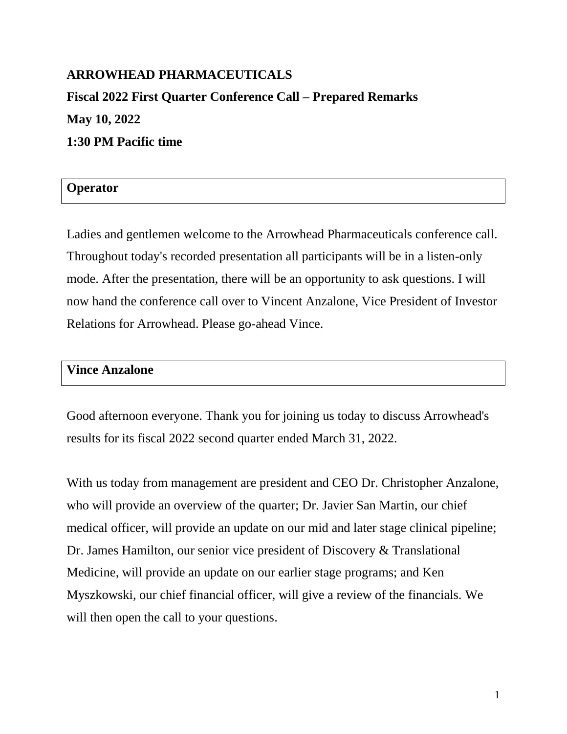# **ARROWHEAD PHARMACEUTICALS Fiscal 2022 First Quarter Conference Call – Prepared Remarks May 10, 2022 1:30 PM Pacific time**

# **Operator**

Ladies and gentlemen welcome to the Arrowhead Pharmaceuticals conference call. Throughout today's recorded presentation all participants will be in a listen-only mode. After the presentation, there will be an opportunity to ask questions. I will now hand the conference call over to Vincent Anzalone, Vice President of Investor Relations for Arrowhead. Please go-ahead Vince.

#### **Vince Anzalone**

Good afternoon everyone. Thank you for joining us today to discuss Arrowhead's results for its fiscal 2022 second quarter ended March 31, 2022.

With us today from management are president and CEO Dr. Christopher Anzalone, who will provide an overview of the quarter; Dr. Javier San Martin, our chief medical officer, will provide an update on our mid and later stage clinical pipeline; Dr. James Hamilton, our senior vice president of Discovery & Translational Medicine, will provide an update on our earlier stage programs; and Ken Myszkowski, our chief financial officer, will give a review of the financials. We will then open the call to your questions.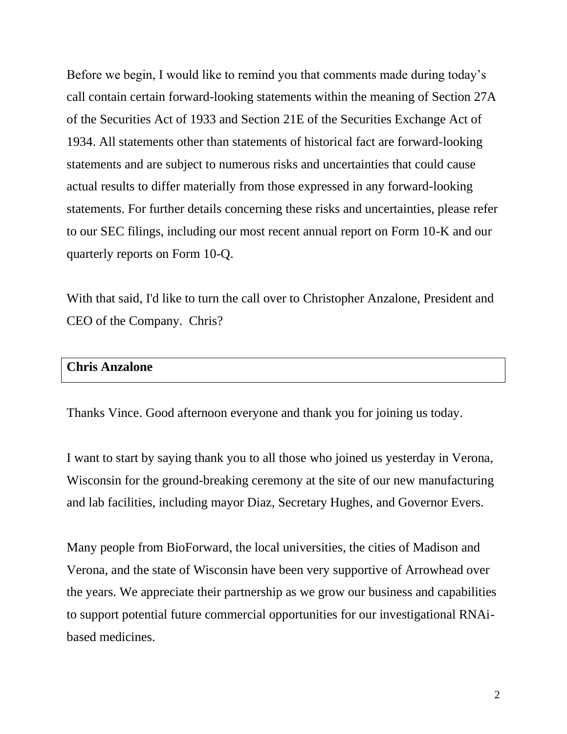Before we begin, I would like to remind you that comments made during today's call contain certain forward-looking statements within the meaning of Section 27A of the Securities Act of 1933 and Section 21E of the Securities Exchange Act of 1934. All statements other than statements of historical fact are forward-looking statements and are subject to numerous risks and uncertainties that could cause actual results to differ materially from those expressed in any forward-looking statements. For further details concerning these risks and uncertainties, please refer to our SEC filings, including our most recent annual report on Form 10-K and our quarterly reports on Form 10-Q.

With that said, I'd like to turn the call over to Christopher Anzalone, President and CEO of the Company. Chris?

#### **Chris Anzalone**

Thanks Vince. Good afternoon everyone and thank you for joining us today.

I want to start by saying thank you to all those who joined us yesterday in Verona, Wisconsin for the ground-breaking ceremony at the site of our new manufacturing and lab facilities, including mayor Diaz, Secretary Hughes, and Governor Evers.

Many people from BioForward, the local universities, the cities of Madison and Verona, and the state of Wisconsin have been very supportive of Arrowhead over the years. We appreciate their partnership as we grow our business and capabilities to support potential future commercial opportunities for our investigational RNAibased medicines.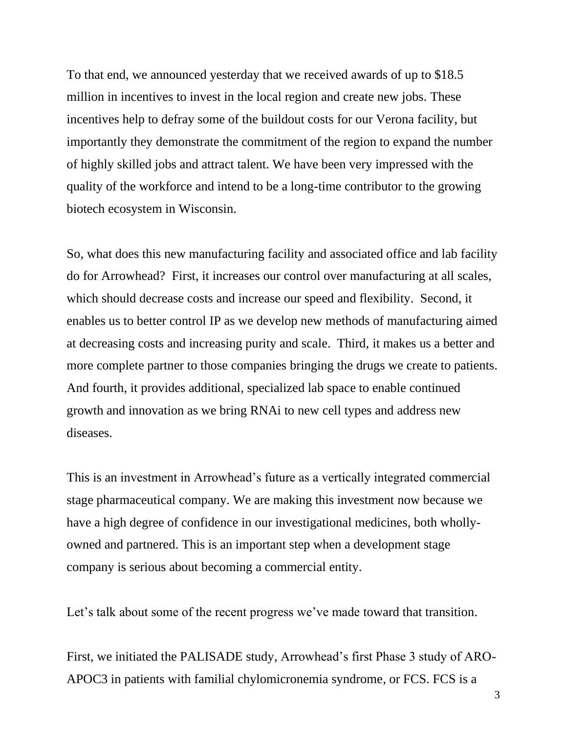To that end, we announced yesterday that we received awards of up to \$18.5 million in incentives to invest in the local region and create new jobs. These incentives help to defray some of the buildout costs for our Verona facility, but importantly they demonstrate the commitment of the region to expand the number of highly skilled jobs and attract talent. We have been very impressed with the quality of the workforce and intend to be a long-time contributor to the growing biotech ecosystem in Wisconsin.

So, what does this new manufacturing facility and associated office and lab facility do for Arrowhead? First, it increases our control over manufacturing at all scales, which should decrease costs and increase our speed and flexibility. Second, it enables us to better control IP as we develop new methods of manufacturing aimed at decreasing costs and increasing purity and scale. Third, it makes us a better and more complete partner to those companies bringing the drugs we create to patients. And fourth, it provides additional, specialized lab space to enable continued growth and innovation as we bring RNAi to new cell types and address new diseases.

This is an investment in Arrowhead's future as a vertically integrated commercial stage pharmaceutical company. We are making this investment now because we have a high degree of confidence in our investigational medicines, both whollyowned and partnered. This is an important step when a development stage company is serious about becoming a commercial entity.

Let's talk about some of the recent progress we've made toward that transition.

First, we initiated the PALISADE study, Arrowhead's first Phase 3 study of ARO-APOC3 in patients with familial chylomicronemia syndrome, or FCS. FCS is a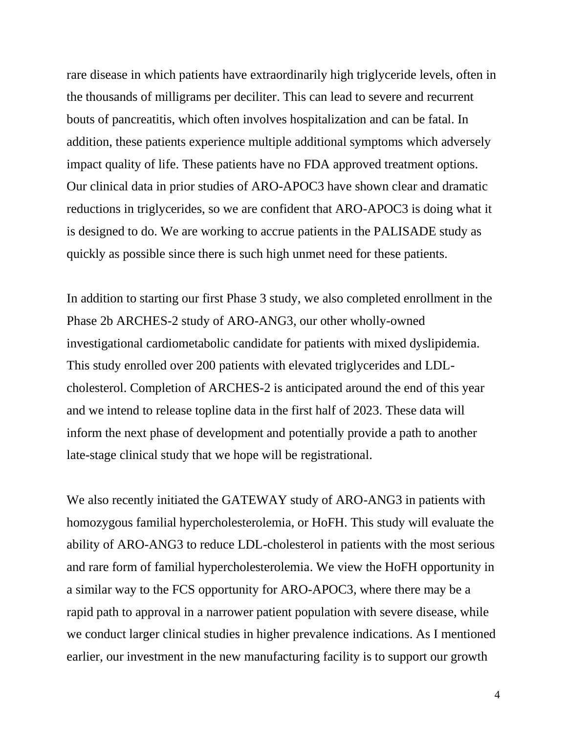rare disease in which patients have extraordinarily high triglyceride levels, often in the thousands of milligrams per deciliter. This can lead to severe and recurrent bouts of pancreatitis, which often involves hospitalization and can be fatal. In addition, these patients experience multiple additional symptoms which adversely impact quality of life. These patients have no FDA approved treatment options. Our clinical data in prior studies of ARO-APOC3 have shown clear and dramatic reductions in triglycerides, so we are confident that ARO-APOC3 is doing what it is designed to do. We are working to accrue patients in the PALISADE study as quickly as possible since there is such high unmet need for these patients.

In addition to starting our first Phase 3 study, we also completed enrollment in the Phase 2b ARCHES-2 study of ARO-ANG3, our other wholly-owned investigational cardiometabolic candidate for patients with mixed dyslipidemia. This study enrolled over 200 patients with elevated triglycerides and LDLcholesterol. Completion of ARCHES-2 is anticipated around the end of this year and we intend to release topline data in the first half of 2023. These data will inform the next phase of development and potentially provide a path to another late-stage clinical study that we hope will be registrational.

We also recently initiated the GATEWAY study of ARO-ANG3 in patients with homozygous familial hypercholesterolemia, or HoFH. This study will evaluate the ability of ARO-ANG3 to reduce LDL-cholesterol in patients with the most serious and rare form of familial hypercholesterolemia. We view the HoFH opportunity in a similar way to the FCS opportunity for ARO-APOC3, where there may be a rapid path to approval in a narrower patient population with severe disease, while we conduct larger clinical studies in higher prevalence indications. As I mentioned earlier, our investment in the new manufacturing facility is to support our growth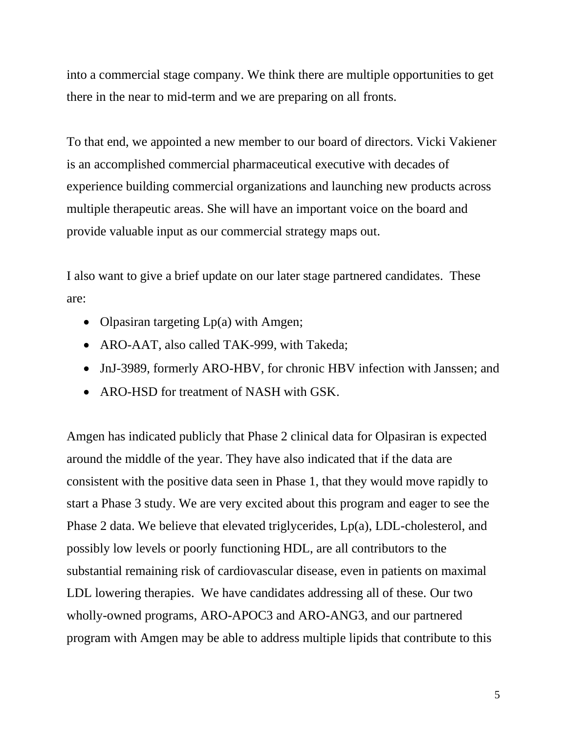into a commercial stage company. We think there are multiple opportunities to get there in the near to mid-term and we are preparing on all fronts.

To that end, we appointed a new member to our board of directors. Vicki Vakiener is an accomplished commercial pharmaceutical executive with decades of experience building commercial organizations and launching new products across multiple therapeutic areas. She will have an important voice on the board and provide valuable input as our commercial strategy maps out.

I also want to give a brief update on our later stage partnered candidates. These are:

- Olpasiran targeting Lp(a) with Amgen;
- ARO-AAT, also called TAK-999, with Takeda;
- JnJ-3989, formerly ARO-HBV, for chronic HBV infection with Janssen; and
- ARO-HSD for treatment of NASH with GSK.

Amgen has indicated publicly that Phase 2 clinical data for Olpasiran is expected around the middle of the year. They have also indicated that if the data are consistent with the positive data seen in Phase 1, that they would move rapidly to start a Phase 3 study. We are very excited about this program and eager to see the Phase 2 data. We believe that elevated triglycerides, Lp(a), LDL-cholesterol, and possibly low levels or poorly functioning HDL, are all contributors to the substantial remaining risk of cardiovascular disease, even in patients on maximal LDL lowering therapies. We have candidates addressing all of these. Our two wholly-owned programs, ARO-APOC3 and ARO-ANG3, and our partnered program with Amgen may be able to address multiple lipids that contribute to this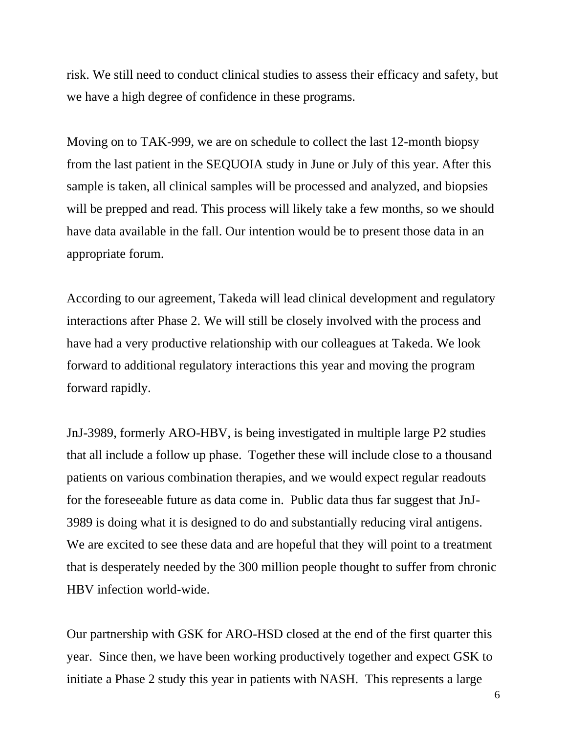risk. We still need to conduct clinical studies to assess their efficacy and safety, but we have a high degree of confidence in these programs.

Moving on to TAK-999, we are on schedule to collect the last 12-month biopsy from the last patient in the SEQUOIA study in June or July of this year. After this sample is taken, all clinical samples will be processed and analyzed, and biopsies will be prepped and read. This process will likely take a few months, so we should have data available in the fall. Our intention would be to present those data in an appropriate forum.

According to our agreement, Takeda will lead clinical development and regulatory interactions after Phase 2. We will still be closely involved with the process and have had a very productive relationship with our colleagues at Takeda. We look forward to additional regulatory interactions this year and moving the program forward rapidly.

JnJ-3989, formerly ARO-HBV, is being investigated in multiple large P2 studies that all include a follow up phase. Together these will include close to a thousand patients on various combination therapies, and we would expect regular readouts for the foreseeable future as data come in. Public data thus far suggest that JnJ-3989 is doing what it is designed to do and substantially reducing viral antigens. We are excited to see these data and are hopeful that they will point to a treatment that is desperately needed by the 300 million people thought to suffer from chronic HBV infection world-wide.

Our partnership with GSK for ARO-HSD closed at the end of the first quarter this year. Since then, we have been working productively together and expect GSK to initiate a Phase 2 study this year in patients with NASH. This represents a large

6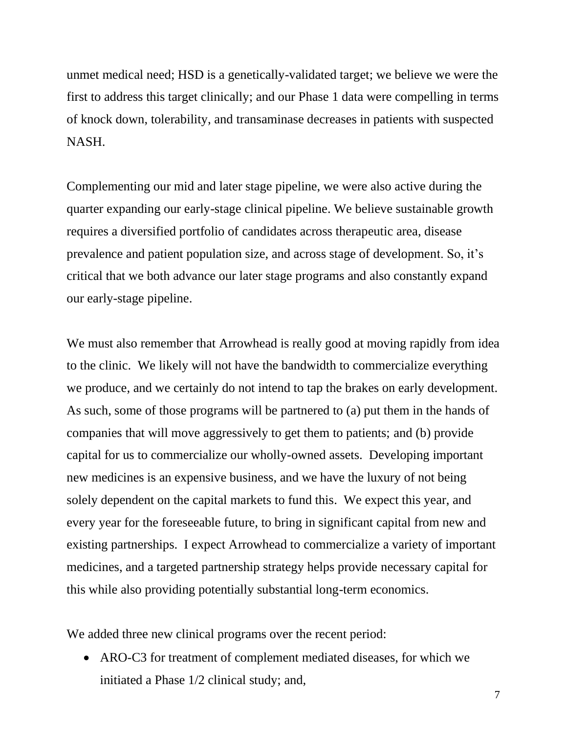unmet medical need; HSD is a genetically-validated target; we believe we were the first to address this target clinically; and our Phase 1 data were compelling in terms of knock down, tolerability, and transaminase decreases in patients with suspected NASH.

Complementing our mid and later stage pipeline, we were also active during the quarter expanding our early-stage clinical pipeline. We believe sustainable growth requires a diversified portfolio of candidates across therapeutic area, disease prevalence and patient population size, and across stage of development. So, it's critical that we both advance our later stage programs and also constantly expand our early-stage pipeline.

We must also remember that Arrowhead is really good at moving rapidly from idea to the clinic. We likely will not have the bandwidth to commercialize everything we produce, and we certainly do not intend to tap the brakes on early development. As such, some of those programs will be partnered to (a) put them in the hands of companies that will move aggressively to get them to patients; and (b) provide capital for us to commercialize our wholly-owned assets. Developing important new medicines is an expensive business, and we have the luxury of not being solely dependent on the capital markets to fund this. We expect this year, and every year for the foreseeable future, to bring in significant capital from new and existing partnerships. I expect Arrowhead to commercialize a variety of important medicines, and a targeted partnership strategy helps provide necessary capital for this while also providing potentially substantial long-term economics.

We added three new clinical programs over the recent period:

• ARO-C3 for treatment of complement mediated diseases, for which we initiated a Phase 1/2 clinical study; and,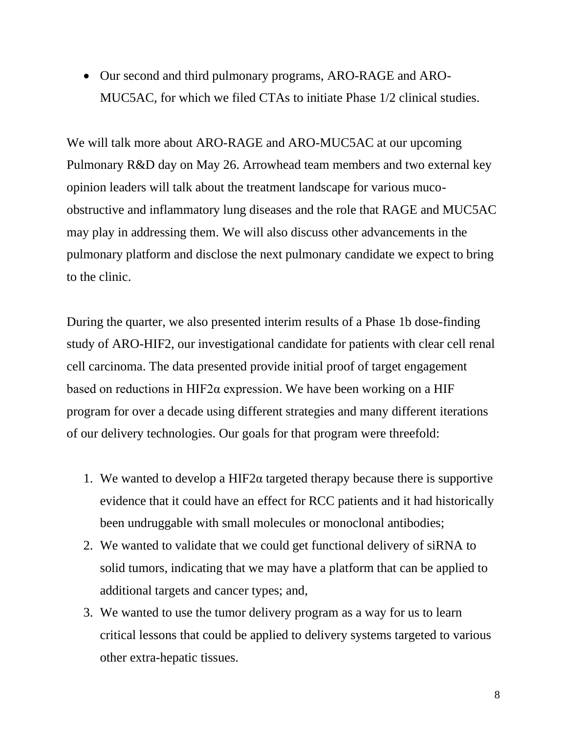• Our second and third pulmonary programs, ARO-RAGE and ARO-MUC5AC, for which we filed CTAs to initiate Phase 1/2 clinical studies.

We will talk more about ARO-RAGE and ARO-MUC5AC at our upcoming Pulmonary R&D day on May 26. Arrowhead team members and two external key opinion leaders will talk about the treatment landscape for various mucoobstructive and inflammatory lung diseases and the role that RAGE and MUC5AC may play in addressing them. We will also discuss other advancements in the pulmonary platform and disclose the next pulmonary candidate we expect to bring to the clinic.

During the quarter, we also presented interim results of a Phase 1b dose-finding study of ARO-HIF2, our investigational candidate for patients with clear cell renal cell carcinoma. The data presented provide initial proof of target engagement based on reductions in HIF2 $\alpha$  expression. We have been working on a HIF program for over a decade using different strategies and many different iterations of our delivery technologies. Our goals for that program were threefold:

- 1. We wanted to develop a HIF2 $\alpha$  targeted therapy because there is supportive evidence that it could have an effect for RCC patients and it had historically been undruggable with small molecules or monoclonal antibodies;
- 2. We wanted to validate that we could get functional delivery of siRNA to solid tumors, indicating that we may have a platform that can be applied to additional targets and cancer types; and,
- 3. We wanted to use the tumor delivery program as a way for us to learn critical lessons that could be applied to delivery systems targeted to various other extra-hepatic tissues.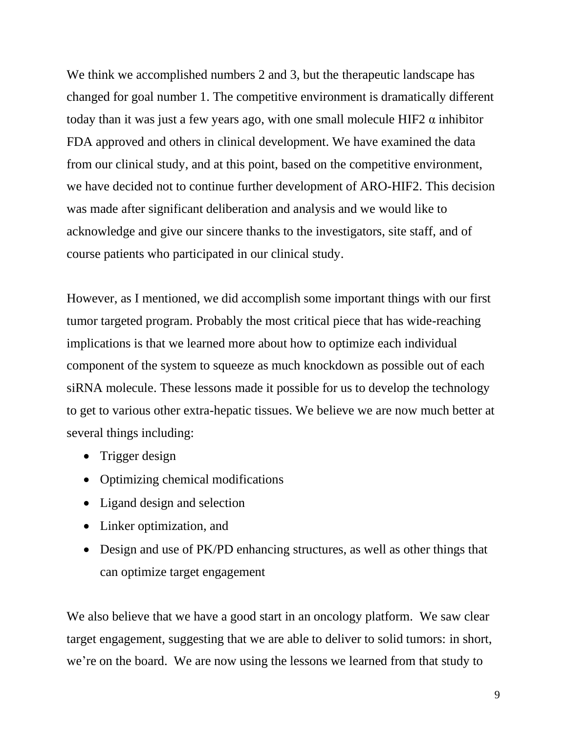We think we accomplished numbers 2 and 3, but the therapeutic landscape has changed for goal number 1. The competitive environment is dramatically different today than it was just a few years ago, with one small molecule HIF2  $\alpha$  inhibitor FDA approved and others in clinical development. We have examined the data from our clinical study, and at this point, based on the competitive environment, we have decided not to continue further development of ARO-HIF2. This decision was made after significant deliberation and analysis and we would like to acknowledge and give our sincere thanks to the investigators, site staff, and of course patients who participated in our clinical study.

However, as I mentioned, we did accomplish some important things with our first tumor targeted program. Probably the most critical piece that has wide-reaching implications is that we learned more about how to optimize each individual component of the system to squeeze as much knockdown as possible out of each siRNA molecule. These lessons made it possible for us to develop the technology to get to various other extra-hepatic tissues. We believe we are now much better at several things including:

- Trigger design
- Optimizing chemical modifications
- Ligand design and selection
- Linker optimization, and
- Design and use of PK/PD enhancing structures, as well as other things that can optimize target engagement

We also believe that we have a good start in an oncology platform. We saw clear target engagement, suggesting that we are able to deliver to solid tumors: in short, we're on the board. We are now using the lessons we learned from that study to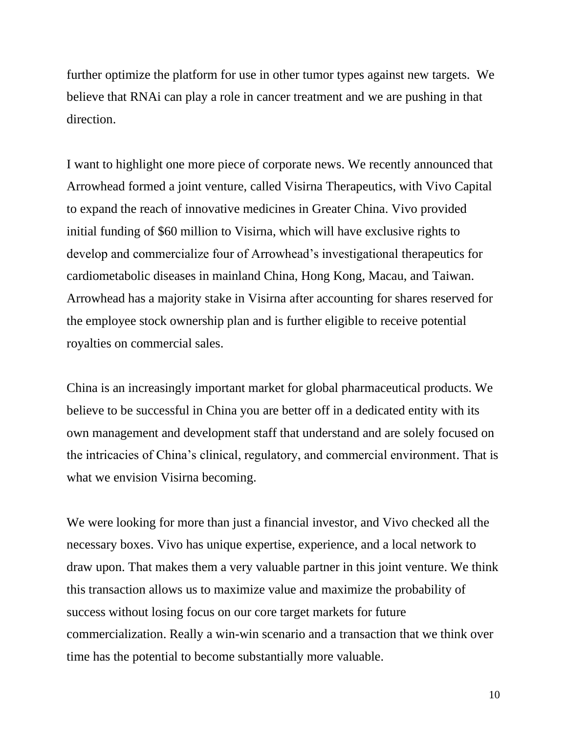further optimize the platform for use in other tumor types against new targets. We believe that RNAi can play a role in cancer treatment and we are pushing in that direction.

I want to highlight one more piece of corporate news. We recently announced that Arrowhead formed a joint venture, called Visirna Therapeutics, with Vivo Capital to expand the reach of innovative medicines in Greater China. Vivo provided initial funding of \$60 million to Visirna, which will have exclusive rights to develop and commercialize four of Arrowhead's investigational therapeutics for cardiometabolic diseases in mainland China, Hong Kong, Macau, and Taiwan. Arrowhead has a majority stake in Visirna after accounting for shares reserved for the employee stock ownership plan and is further eligible to receive potential royalties on commercial sales.

China is an increasingly important market for global pharmaceutical products. We believe to be successful in China you are better off in a dedicated entity with its own management and development staff that understand and are solely focused on the intricacies of China's clinical, regulatory, and commercial environment. That is what we envision Visirna becoming.

We were looking for more than just a financial investor, and Vivo checked all the necessary boxes. Vivo has unique expertise, experience, and a local network to draw upon. That makes them a very valuable partner in this joint venture. We think this transaction allows us to maximize value and maximize the probability of success without losing focus on our core target markets for future commercialization. Really a win-win scenario and a transaction that we think over time has the potential to become substantially more valuable.

10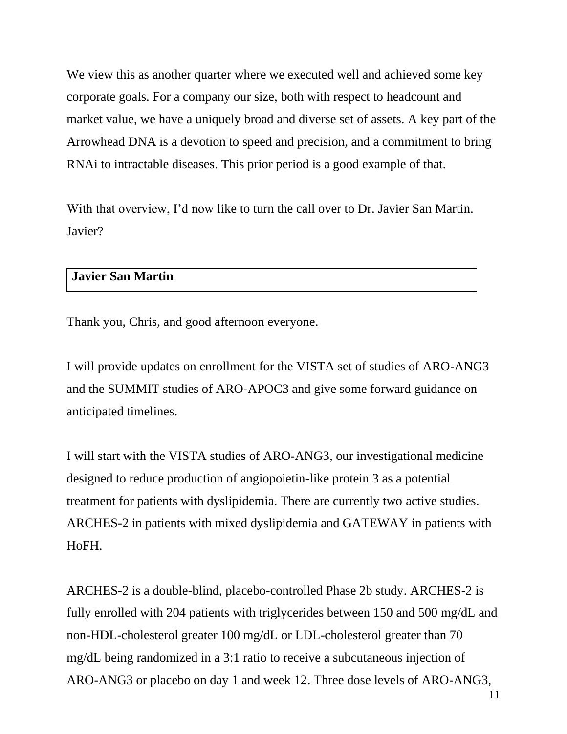We view this as another quarter where we executed well and achieved some key corporate goals. For a company our size, both with respect to headcount and market value, we have a uniquely broad and diverse set of assets. A key part of the Arrowhead DNA is a devotion to speed and precision, and a commitment to bring RNAi to intractable diseases. This prior period is a good example of that.

With that overview, I'd now like to turn the call over to Dr. Javier San Martin. Javier?

# **Javier San Martin**

Thank you, Chris, and good afternoon everyone.

I will provide updates on enrollment for the VISTA set of studies of ARO-ANG3 and the SUMMIT studies of ARO-APOC3 and give some forward guidance on anticipated timelines.

I will start with the VISTA studies of ARO-ANG3, our investigational medicine designed to reduce production of angiopoietin-like protein 3 as a potential treatment for patients with dyslipidemia. There are currently two active studies. ARCHES-2 in patients with mixed dyslipidemia and GATEWAY in patients with HoFH.

ARCHES-2 is a double-blind, placebo-controlled Phase 2b study. ARCHES-2 is fully enrolled with 204 patients with triglycerides between 150 and 500 mg/dL and non-HDL-cholesterol greater 100 mg/dL or LDL-cholesterol greater than 70 mg/dL being randomized in a 3:1 ratio to receive a subcutaneous injection of ARO-ANG3 or placebo on day 1 and week 12. Three dose levels of ARO-ANG3,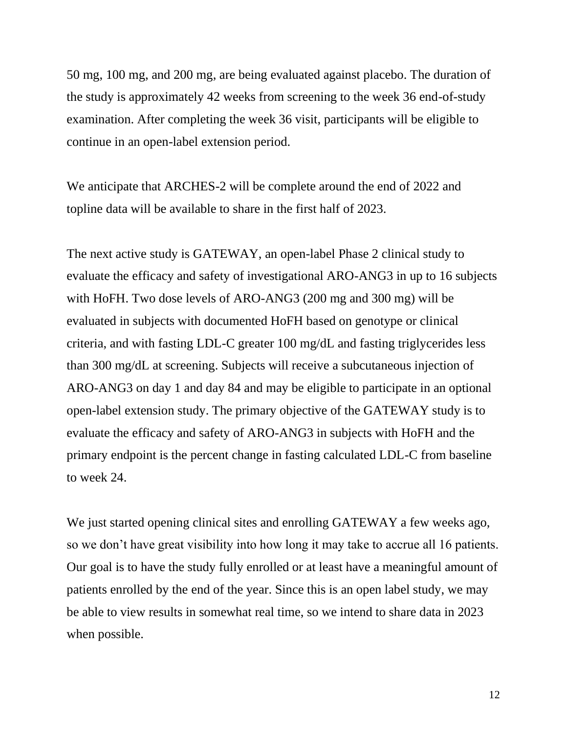50 mg, 100 mg, and 200 mg, are being evaluated against placebo. The duration of the study is approximately 42 weeks from screening to the week 36 end-of-study examination. After completing the week 36 visit, participants will be eligible to continue in an open-label extension period.

We anticipate that ARCHES-2 will be complete around the end of 2022 and topline data will be available to share in the first half of 2023.

The next active study is GATEWAY, an open-label Phase 2 clinical study to evaluate the efficacy and safety of investigational ARO-ANG3 in up to 16 subjects with HoFH. Two dose levels of ARO-ANG3 (200 mg and 300 mg) will be evaluated in subjects with documented HoFH based on genotype or clinical criteria, and with fasting LDL-C greater 100 mg/dL and fasting triglycerides less than 300 mg/dL at screening. Subjects will receive a subcutaneous injection of ARO-ANG3 on day 1 and day 84 and may be eligible to participate in an optional open-label extension study. The primary objective of the GATEWAY study is to evaluate the efficacy and safety of ARO-ANG3 in subjects with HoFH and the primary endpoint is the percent change in fasting calculated LDL-C from baseline to week 24.

We just started opening clinical sites and enrolling GATEWAY a few weeks ago, so we don't have great visibility into how long it may take to accrue all 16 patients. Our goal is to have the study fully enrolled or at least have a meaningful amount of patients enrolled by the end of the year. Since this is an open label study, we may be able to view results in somewhat real time, so we intend to share data in 2023 when possible.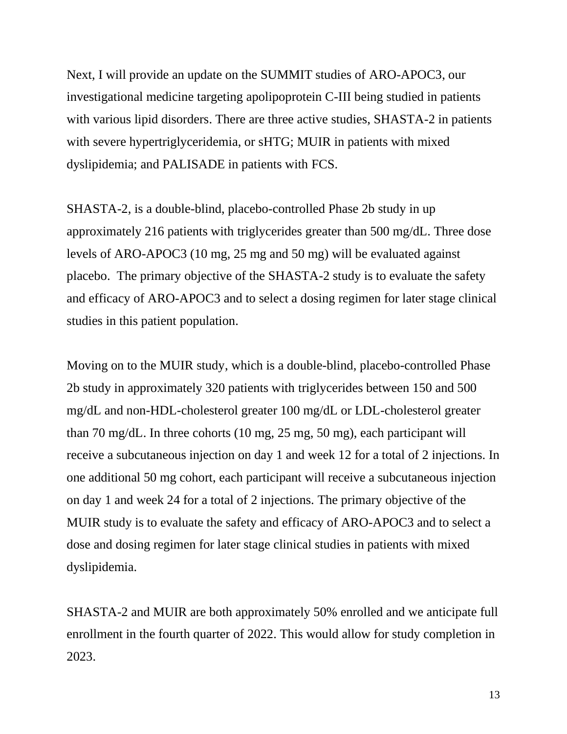Next, I will provide an update on the SUMMIT studies of ARO-APOC3, our investigational medicine targeting apolipoprotein C-III being studied in patients with various lipid disorders. There are three active studies, SHASTA-2 in patients with severe hypertriglyceridemia, or sHTG; MUIR in patients with mixed dyslipidemia; and PALISADE in patients with FCS.

SHASTA-2, is a double-blind, placebo-controlled Phase 2b study in up approximately 216 patients with triglycerides greater than 500 mg/dL. Three dose levels of ARO-APOC3 (10 mg, 25 mg and 50 mg) will be evaluated against placebo. The primary objective of the SHASTA-2 study is to evaluate the safety and efficacy of ARO-APOC3 and to select a dosing regimen for later stage clinical studies in this patient population.

Moving on to the MUIR study, which is a double-blind, placebo-controlled Phase 2b study in approximately 320 patients with triglycerides between 150 and 500 mg/dL and non-HDL-cholesterol greater 100 mg/dL or LDL-cholesterol greater than 70 mg/dL. In three cohorts (10 mg, 25 mg, 50 mg), each participant will receive a subcutaneous injection on day 1 and week 12 for a total of 2 injections. In one additional 50 mg cohort, each participant will receive a subcutaneous injection on day 1 and week 24 for a total of 2 injections. The primary objective of the MUIR study is to evaluate the safety and efficacy of ARO-APOC3 and to select a dose and dosing regimen for later stage clinical studies in patients with mixed dyslipidemia.

SHASTA-2 and MUIR are both approximately 50% enrolled and we anticipate full enrollment in the fourth quarter of 2022. This would allow for study completion in 2023.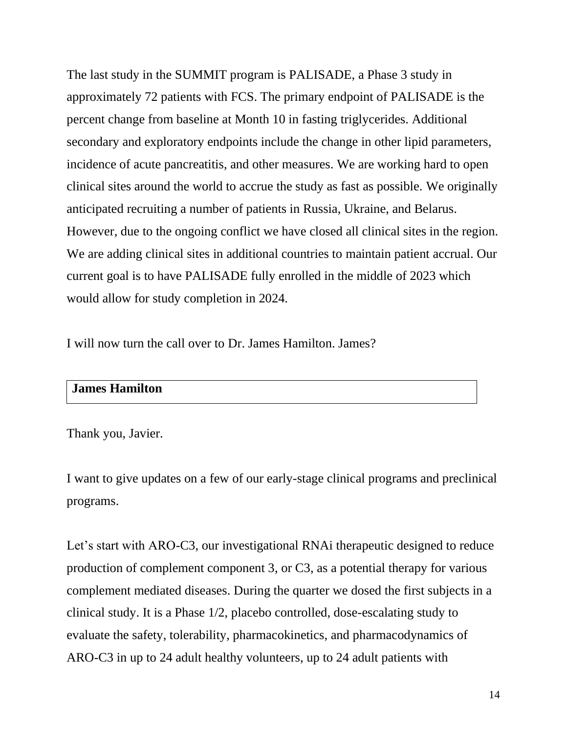The last study in the SUMMIT program is PALISADE, a Phase 3 study in approximately 72 patients with FCS. The primary endpoint of PALISADE is the percent change from baseline at Month 10 in fasting triglycerides. Additional secondary and exploratory endpoints include the change in other lipid parameters, incidence of acute pancreatitis, and other measures. We are working hard to open clinical sites around the world to accrue the study as fast as possible. We originally anticipated recruiting a number of patients in Russia, Ukraine, and Belarus. However, due to the ongoing conflict we have closed all clinical sites in the region. We are adding clinical sites in additional countries to maintain patient accrual. Our current goal is to have PALISADE fully enrolled in the middle of 2023 which would allow for study completion in 2024.

I will now turn the call over to Dr. James Hamilton. James?

# **James Hamilton**

#### Thank you, Javier.

I want to give updates on a few of our early-stage clinical programs and preclinical programs.

Let's start with ARO-C3, our investigational RNAi therapeutic designed to reduce production of complement component 3, or C3, as a potential therapy for various complement mediated diseases. During the quarter we dosed the first subjects in a clinical study. It is a Phase 1/2, placebo controlled, dose-escalating study to evaluate the safety, tolerability, pharmacokinetics, and pharmacodynamics of ARO-C3 in up to 24 adult healthy volunteers, up to 24 adult patients with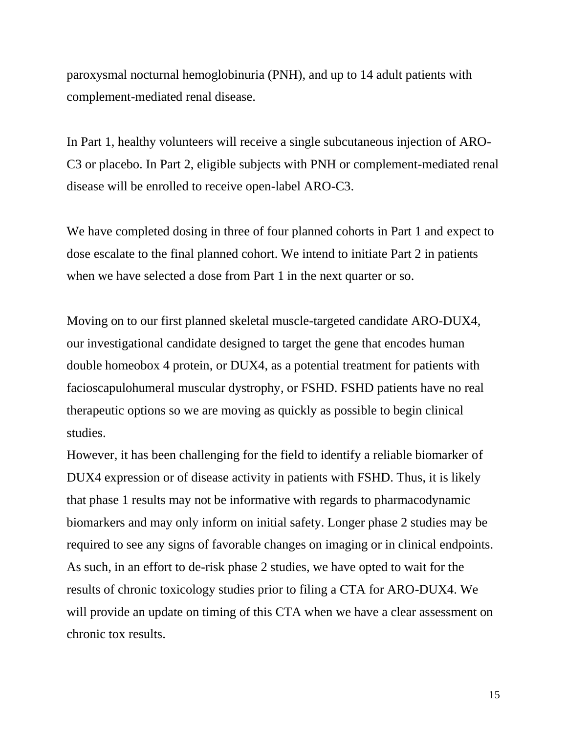paroxysmal nocturnal hemoglobinuria (PNH), and up to 14 adult patients with complement-mediated renal disease.

In Part 1, healthy volunteers will receive a single subcutaneous injection of ARO-C3 or placebo. In Part 2, eligible subjects with PNH or complement-mediated renal disease will be enrolled to receive open-label ARO-C3.

We have completed dosing in three of four planned cohorts in Part 1 and expect to dose escalate to the final planned cohort. We intend to initiate Part 2 in patients when we have selected a dose from Part 1 in the next quarter or so.

Moving on to our first planned skeletal muscle-targeted candidate ARO-DUX4, our investigational candidate designed to target the gene that encodes human double homeobox 4 protein, or DUX4, as a potential treatment for patients with facioscapulohumeral muscular dystrophy, or FSHD. FSHD patients have no real therapeutic options so we are moving as quickly as possible to begin clinical studies.

However, it has been challenging for the field to identify a reliable biomarker of DUX4 expression or of disease activity in patients with FSHD. Thus, it is likely that phase 1 results may not be informative with regards to pharmacodynamic biomarkers and may only inform on initial safety. Longer phase 2 studies may be required to see any signs of favorable changes on imaging or in clinical endpoints. As such, in an effort to de-risk phase 2 studies, we have opted to wait for the results of chronic toxicology studies prior to filing a CTA for ARO-DUX4. We will provide an update on timing of this CTA when we have a clear assessment on chronic tox results.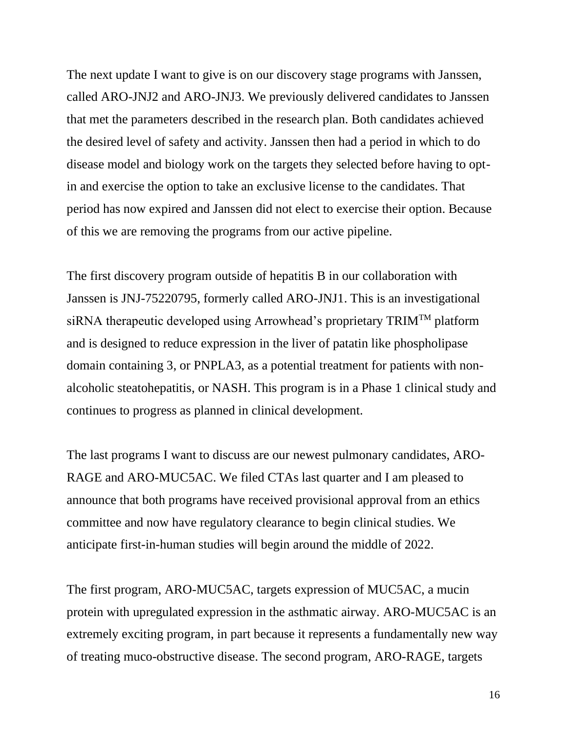The next update I want to give is on our discovery stage programs with Janssen, called ARO-JNJ2 and ARO-JNJ3. We previously delivered candidates to Janssen that met the parameters described in the research plan. Both candidates achieved the desired level of safety and activity. Janssen then had a period in which to do disease model and biology work on the targets they selected before having to optin and exercise the option to take an exclusive license to the candidates. That period has now expired and Janssen did not elect to exercise their option. Because of this we are removing the programs from our active pipeline.

The first discovery program outside of hepatitis B in our collaboration with Janssen is JNJ-75220795, formerly called ARO-JNJ1. This is an investigational siRNA therapeutic developed using Arrowhead's proprietary TRIM<sup>TM</sup> platform and is designed to reduce expression in the liver of patatin like phospholipase domain containing 3, or PNPLA3, as a potential treatment for patients with nonalcoholic steatohepatitis, or NASH. This program is in a Phase 1 clinical study and continues to progress as planned in clinical development.

The last programs I want to discuss are our newest pulmonary candidates, ARO-RAGE and ARO-MUC5AC. We filed CTAs last quarter and I am pleased to announce that both programs have received provisional approval from an ethics committee and now have regulatory clearance to begin clinical studies. We anticipate first-in-human studies will begin around the middle of 2022.

The first program, ARO-MUC5AC, targets expression of MUC5AC, a mucin protein with upregulated expression in the asthmatic airway. ARO-MUC5AC is an extremely exciting program, in part because it represents a fundamentally new way of treating muco-obstructive disease. The second program, ARO-RAGE, targets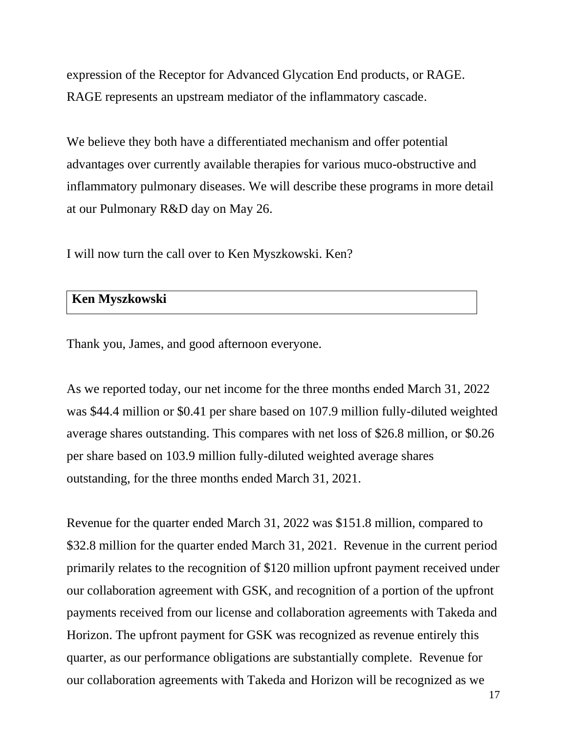expression of the Receptor for Advanced Glycation End products, or RAGE. RAGE represents an upstream mediator of the inflammatory cascade.

We believe they both have a differentiated mechanism and offer potential advantages over currently available therapies for various muco-obstructive and inflammatory pulmonary diseases. We will describe these programs in more detail at our Pulmonary R&D day on May 26.

I will now turn the call over to Ken Myszkowski. Ken?

### **Ken Myszkowski**

Thank you, James, and good afternoon everyone.

As we reported today, our net income for the three months ended March 31, 2022 was \$44.4 million or \$0.41 per share based on 107.9 million fully-diluted weighted average shares outstanding. This compares with net loss of \$26.8 million, or \$0.26 per share based on 103.9 million fully-diluted weighted average shares outstanding, for the three months ended March 31, 2021.

Revenue for the quarter ended March 31, 2022 was \$151.8 million, compared to \$32.8 million for the quarter ended March 31, 2021. Revenue in the current period primarily relates to the recognition of \$120 million upfront payment received under our collaboration agreement with GSK, and recognition of a portion of the upfront payments received from our license and collaboration agreements with Takeda and Horizon. The upfront payment for GSK was recognized as revenue entirely this quarter, as our performance obligations are substantially complete. Revenue for our collaboration agreements with Takeda and Horizon will be recognized as we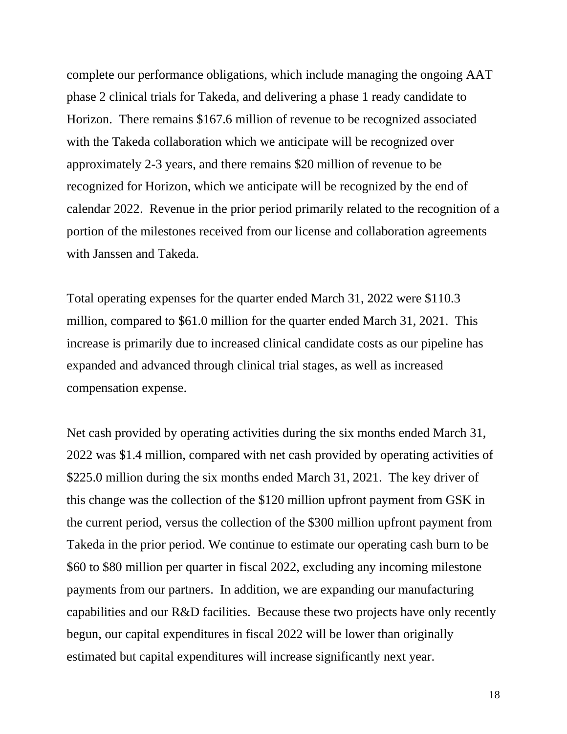complete our performance obligations, which include managing the ongoing AAT phase 2 clinical trials for Takeda, and delivering a phase 1 ready candidate to Horizon. There remains \$167.6 million of revenue to be recognized associated with the Takeda collaboration which we anticipate will be recognized over approximately 2-3 years, and there remains \$20 million of revenue to be recognized for Horizon, which we anticipate will be recognized by the end of calendar 2022. Revenue in the prior period primarily related to the recognition of a portion of the milestones received from our license and collaboration agreements with Janssen and Takeda.

Total operating expenses for the quarter ended March 31, 2022 were \$110.3 million, compared to \$61.0 million for the quarter ended March 31, 2021. This increase is primarily due to increased clinical candidate costs as our pipeline has expanded and advanced through clinical trial stages, as well as increased compensation expense.

Net cash provided by operating activities during the six months ended March 31, 2022 was \$1.4 million, compared with net cash provided by operating activities of \$225.0 million during the six months ended March 31, 2021. The key driver of this change was the collection of the \$120 million upfront payment from GSK in the current period, versus the collection of the \$300 million upfront payment from Takeda in the prior period. We continue to estimate our operating cash burn to be \$60 to \$80 million per quarter in fiscal 2022, excluding any incoming milestone payments from our partners. In addition, we are expanding our manufacturing capabilities and our R&D facilities. Because these two projects have only recently begun, our capital expenditures in fiscal 2022 will be lower than originally estimated but capital expenditures will increase significantly next year.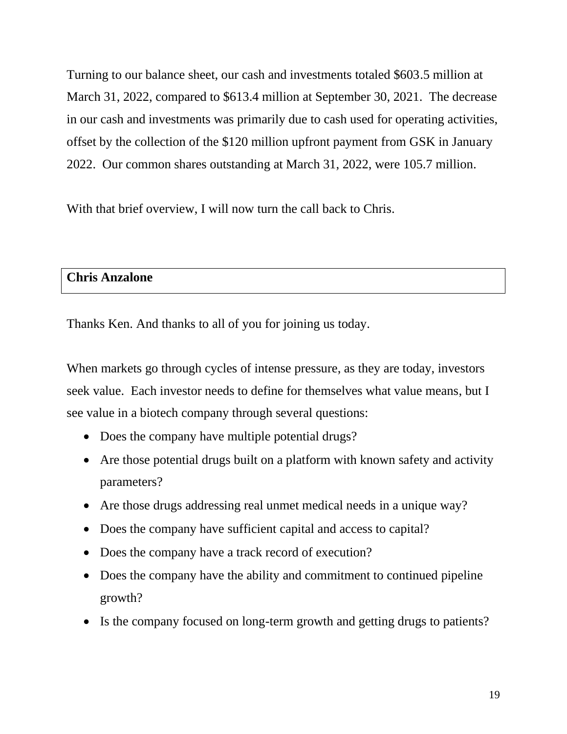Turning to our balance sheet, our cash and investments totaled \$603.5 million at March 31, 2022, compared to \$613.4 million at September 30, 2021. The decrease in our cash and investments was primarily due to cash used for operating activities, offset by the collection of the \$120 million upfront payment from GSK in January 2022. Our common shares outstanding at March 31, 2022, were 105.7 million.

With that brief overview, I will now turn the call back to Chris.

## **Chris Anzalone**

Thanks Ken. And thanks to all of you for joining us today.

When markets go through cycles of intense pressure, as they are today, investors seek value. Each investor needs to define for themselves what value means, but I see value in a biotech company through several questions:

- Does the company have multiple potential drugs?
- Are those potential drugs built on a platform with known safety and activity parameters?
- Are those drugs addressing real unmet medical needs in a unique way?
- Does the company have sufficient capital and access to capital?
- Does the company have a track record of execution?
- Does the company have the ability and commitment to continued pipeline growth?
- Is the company focused on long-term growth and getting drugs to patients?